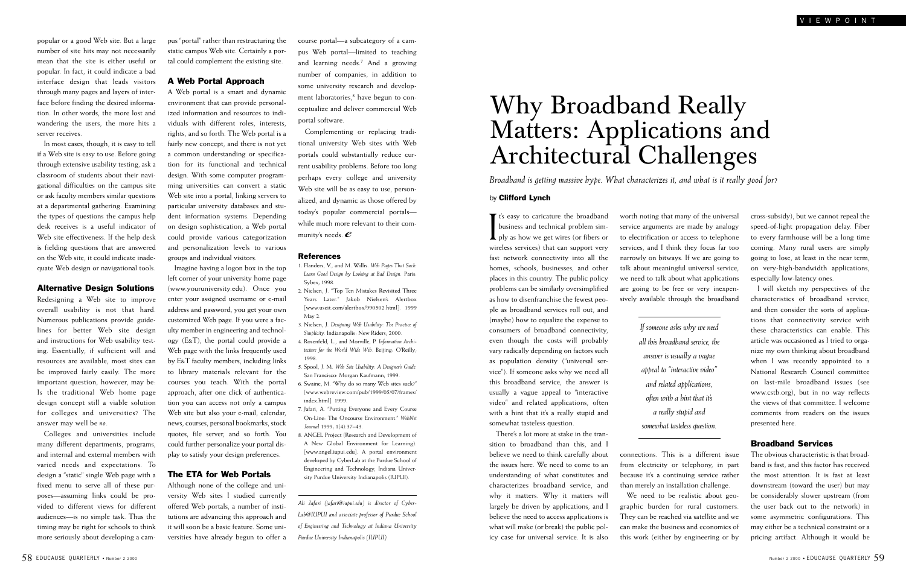# Why Broadband Really Matters: Applications and Architectural Challenges

*Broadband is getting massive hype. What characterizes it, and what is it really good for?*

#### by Clifford Lynch

If t's easy to caricature the broadband<br>business and technical problem sim-<br>ply as how we get wires (or fibers or<br>wireless services) that can support very business and technical problem simply as how we get wires (or fibers or wireless services) that can support very fast network connectivity into all the homes, schools, businesses, and other places in this country. The public policy problems can be similarly oversimplified as how to disenfranchise the fewest people as broadband services roll out, and (maybe) how to equalize the expense to consumers of broadband connectivity, even though the costs will probably vary radically depending on factors such as population density ("universal service"). If someone asks why we need all this broadband service, the answer is usually a vague appeal to "interactive video" and related applications, often with a hint that it's a really stupid and somewhat tasteless question.

There's a lot more at stake in the transition to broadband than this, and I believe we need to think carefully about the issues here. We need to come to an understanding of what constitutes and characterizes broadband service, and why it matters. Why it matters will largely be driven by applications, and I believe the need to access applications is what will make (or break) the public policy case for universal service. It is also

worth noting that many of the universal service arguments are made by analogy to electrification or access to telephone services, and I think they focus far too narrowly on bitways. If we are going to talk about meaningful universal service, we need to talk about what applications are going to be free or very inexpensively available through the broadband

> *If someone asks why we need all this broadband service, the answer is usually a vague appeal to "interactive video" and related applications, often with a hint that it's a really stupid and somewhat tasteless question.*

connections. This is a different issue from electricity or telephony, in part because it's a continuing service rather than merely an installation challenge.

We need to be realistic about geographic burden for rural customers. They can be reached via satellite and we can make the business and economics of this work (either by engineering or by cross-subsidy), but we cannot repeal the speed-of-light propagation delay. Fiber to every farmhouse will be a long time coming. Many rural users are simply going to lose, at least in the near term, on very-high-bandwidth applications, especially low-latency ones.

I will sketch my perspectives of the characteristics of broadband service, and then consider the sorts of applications that connectivity service with these characteristics can enable. This article was occasioned as I tried to organize my own thinking about broadband when I was recently appointed to a National Research Council committee on last-mile broadband issues (see www.cstb.org), but in no way reflects the views of that committee. I welcome comments from readers on the issues presented here.

### Broadband Services

The obvious characteristic is that broadband is fast, and this factor has received the most attention. It is fast at least downstream (toward the user) but may be considerably slower upstream (from the user back out to the network) in some asymmetric configurations. This may either be a technical constraint or a pricing artifact. Although it would be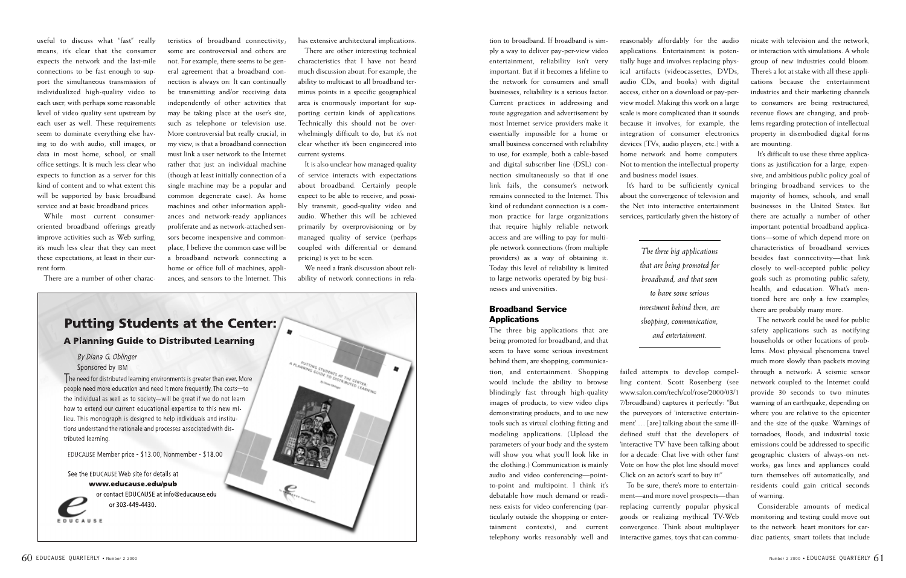tion to broadband. If broadband is simply a way to deliver pay-per-view video entertainment, reliability isn't very important. But if it becomes a lifeline to the network for consumers and small businesses, reliability is a serious factor. Current practices in addressing and route aggregation and advertisement by most Internet service providers make it essentially impossible for a home or small business concerned with reliability to use, for example, both a cable-based and digital subscriber line (DSL) connection simultaneously so that if one link fails, the consumer's network remains connected to the Internet. This kind of redundant connection is a common practice for large organizations that require highly reliable network access and are willing to pay for multiple network connections (from multiple providers) as a way of obtaining it. Today this level of reliability is limited

to large networks operated by big busi-

nesses and universities.

**Applications** 

Broadband Service

The three big applications that are being promoted for broadband, and that seem to have some serious investment behind them, are shopping, communication, and entertainment. Shopping would include the ability to browse blindingly fast through high-quality images of products, to view video clips demonstrating products, and to use new tools such as virtual clothing fitting and modeling applications. (Upload the parameters of your body and the system will show you what you'll look like in the clothing.) Communication is mainly audio and video conferencing—pointto-point and multipoint. I think it's debatable how much demand or readiness exists for video conferencing (particularly outside the shopping or entertainment contexts), and current telephony works reasonably well and

reasonably affordably for the audio applications. Entertainment is potentially huge and involves replacing physical artifacts (videocassettes, DVDs, audio CDs, and books) with digital access, either on a download or pay-perview model. Making this work on a large scale is more complicated than it sounds because it involves, for example, the integration of consumer electronics devices (TVs, audio players, etc.) with a home network and home computers. Not to mention the intellectual property

and business model issues.

It's hard to be sufficiently cynical about the convergence of television and the Net into interactive entertainment services, particularly given the history of

failed attempts to develop compelling content. Scott Rosenberg (see www.salon.com/tech/col/rose/2000/03/1 7/broadband) captures it perfectly: "But the purveyors of 'interactive entertainment' … [are] talking about the same illdefined stuff that the developers of 'interactive TV' have been talking about for a decade: Chat live with other fans! Vote on how the plot line should move! Click on an actor's scarf to buy it!"

To be sure, there's more to entertainment—and more novel prospects—than replacing currently popular physical goods or realizing mythical TV-Web convergence. Think about multiplayer interactive games, toys that can communicate with television and the network, or interaction with simulations. A whole group of new industries could bloom. There's a lot at stake with all these applications because the entertainment industries and their marketing channels to consumers are being restructured, revenue flows are changing, and problems regarding protection of intellectual property in disembodied digital forms are mounting.

It's difficult to use these three applications as justification for a large, expensive, and ambitious public policy goal of bringing broadband services to the majority of homes, schools, and small businesses in the United States. But there are actually a number of other important potential broadband applications—some of which depend more on characteristics of broadband services besides fast connectivity—that link closely to well-accepted public policy goals such as promoting public safety, health, and education. What's mentioned here are only a few examples; there are probably many more.

The network could be used for public safety applications such as notifying households or other locations of problems. Most physical phenomena travel much more slowly than packets moving through a network: A seismic sensor network coupled to the Internet could provide 30 seconds to two minutes warning of an earthquake, depending on where you are relative to the epicenter and the size of the quake. Warnings of tornadoes, floods, and industrial toxic emissions could be addressed to specific geographic clusters of always-on networks; gas lines and appliances could turn themselves off automatically, and residents could gain critical seconds of warning.

Considerable amounts of medical monitoring and testing could move out to the network: heart monitors for cardiac patients, smart toilets that include

useful to discuss what "fast" really means, it's clear that the consumer expects the network and the last-mile connections to be fast enough to support the simultaneous transmission of individualized high-quality video to each user, with perhaps some reasonable level of video quality sent upstream by each user as well. These requirements seem to dominate everything else having to do with audio, still images, or data in most home, school, or small office settings. It is much less clear who expects to function as a server for this kind of content and to what extent this will be supported by basic broadband service and at basic broadband prices.

While most current consumeroriented broadband offerings greatly improve activities such as Web surfing, it's much less clear that they can meet these expectations, at least in their current form.

There are a number of other charac-

teristics of broadband connectivity; some are controversial and others are not. For example, there seems to be general agreement that a broadband connection is always on: It can continually be transmitting and/or receiving data independently of other activities that may be taking place at the user's site, such as telephone or television use. More controversial but really crucial, in my view, is that a broadband connection must link a user network to the Internet rather that just an individual machine (though at least initially connection of a single machine may be a popular and common degenerate case). As home machines and other information appliances and network-ready appliances proliferate and as network-attached sensors become inexpensive and commonplace, I believe the common case will be a broadband network connecting a home or office full of machines, appliances, and sensors to the Internet. This has extensive architectural implications.

There are other interesting technical characteristics that I have not heard much discussion about. For example, the ability to multicast to all broadband terminus points in a specific geographical area is enormously important for supporting certain kinds of applications. Technically this should not be overwhelmingly difficult to do, but it's not clear whether it's been engineered into current systems.

It is also unclear how managed quality of service interacts with expectations about broadband. Certainly people expect to be able to receive, and possibly transmit, good-quality video and audio. Whether this will be achieved primarily by overprovisioning or by managed quality of service (perhaps coupled with differential or demand pricing) is yet to be seen.

We need a frank discussion about reliability of network connections in rela-



*The three big applications that are being promoted for broadband, and that seem to have some serious investment behind them, are shopping, communication, and entertainment.*